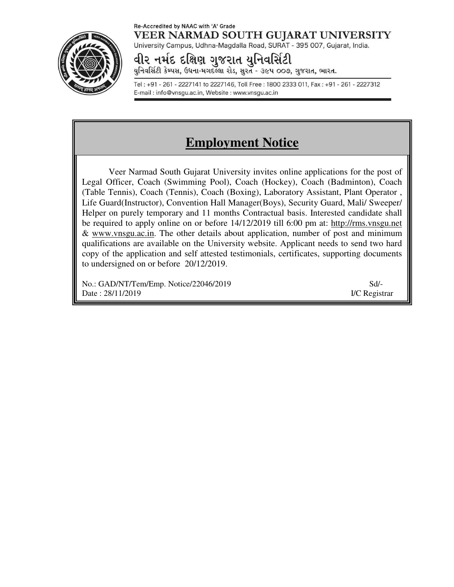#### Re-Accredited by NAAC with 'A' Grade VEER NARMAD SOUTH GUJARAT UNIVERSITY University Campus, Udhna-Magdalla Road, SURAT - 395 007, Gujarat, India.

વીર નર્મદ દક્ષિણ ગુજરાત યુનિવર્સિટી

યુનિવર્સિટી કેમ્પસ, ઉધના-મગદલ્લા રોડ, સુરત - ૩૯૫ ૦૦૭, ગુજરાત, ભારત.

Tel: +91 - 261 - 2227141 to 2227146, Toll Free: 1800 2333 011, Fax: +91 - 261 - 2227312 E-mail: info@vnsgu.ac.in, Website: www.vnsgu.ac.in

# **Employment Notice**

Veer Narmad South Gujarat University invites online applications for the post of Legal Officer, Coach (Swimming Pool), Coach (Hockey), Coach (Badminton), Coach (Table Tennis), Coach (Tennis), Coach (Boxing), Laboratory Assistant, Plant Operator , Life Guard(Instructor), Convention Hall Manager(Boys), Security Guard, Mali/ Sweeper/ Helper on purely temporary and 11 months Contractual basis. Interested candidate shall be required to apply online on or before 14/12/2019 till 6:00 pm at: http://rms.vnsgu.net & www.vnsgu.ac.in. The other details about application, number of post and minimum qualifications are available on the University website. Applicant needs to send two hard copy of the application and self attested testimonials, certificates, supporting documents to undersigned on or before 20/12/2019.

No.: GAD/NT/Tem/Emp. Notice/22046/2019 Sd/- Date : 28/11/2019 I/C Registrar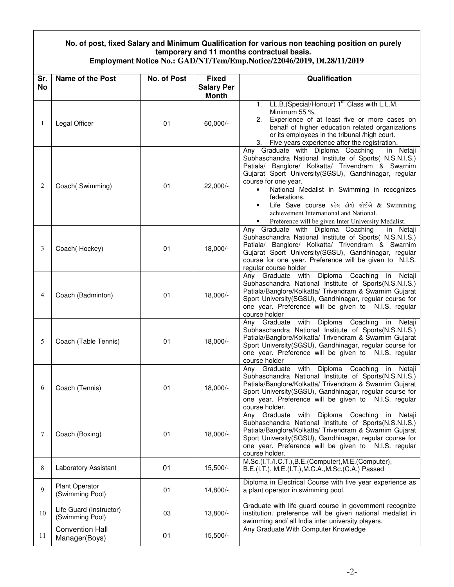### **No. of post, fixed Salary and Minimum Qualification for various non teaching position on purely temporary and 11 months contractual basis.**

|  | Employment Notice No.: GAD/NT/Tem/Emp.Notice/22046/2019, Dt.28/11/2019 |  |
|--|------------------------------------------------------------------------|--|
|--|------------------------------------------------------------------------|--|

| Sr.            | Name of the Post                           | <b>No. of Post</b> | <b>Fixed</b>                      | Qualification                                                                                                                                                                                                                                                                                                                                                                                                                                                                                         |
|----------------|--------------------------------------------|--------------------|-----------------------------------|-------------------------------------------------------------------------------------------------------------------------------------------------------------------------------------------------------------------------------------------------------------------------------------------------------------------------------------------------------------------------------------------------------------------------------------------------------------------------------------------------------|
| <b>No</b>      |                                            |                    | <b>Salary Per</b><br><b>Month</b> |                                                                                                                                                                                                                                                                                                                                                                                                                                                                                                       |
| 1              | Legal Officer                              | 01                 | 60,000/-                          | 1. LL.B. (Special/Honour) 1 <sup>st</sup> Class with L.L.M.<br>Minimum 55 %.<br>Experience of at least five or more cases on<br>2.<br>behalf of higher education related organizations<br>or its employees in the tribunal /high court.<br>Five years experience after the registration.<br>3.                                                                                                                                                                                                        |
| 2              | Coach(Swimming)                            | 01                 | $22,000/-$                        | Any Graduate with Diploma Coaching<br>in Netaji<br>Subhaschandra National Institute of Sports( N.S.N.I.S.)<br>Patiala/ Banglore/ Kolkatta/ Trivendram & Swarnim<br>Gujarat Sport University(SGSU), Gandhinagar, regular<br>course for one year.<br>National Medalist in Swimming in recognizes<br>$\bullet$<br>federations.<br>Life Save course કરેલ હોવો જોઈએ & Swimming<br>$\bullet$<br>achievement International and National.<br>Preference will be given Inter University Medalist.<br>$\bullet$ |
| 3              | Coach(Hockey)                              | 01                 | 18,000/-                          | Any Graduate with Diploma Coaching<br>in Netaji<br>Subhaschandra National Institute of Sports( N.S.N.I.S.)<br>Patiala/ Banglore/ Kolkatta/ Trivendram & Swarnim<br>Gujarat Sport University (SGSU), Gandhinagar, regular<br>course for one year. Preference will be given to N.I.S.<br>regular course holder                                                                                                                                                                                          |
| $\overline{4}$ | Coach (Badminton)                          | 01                 | $18,000/-$                        | Any Graduate with Diploma Coaching<br>in Netaji<br>Subhaschandra National Institute of Sports(N.S.N.I.S.)<br>Patiala/Banglore/Kolkatta/ Trivendram & Swarnim Gujarat<br>Sport University(SGSU), Gandhinagar, regular course for<br>one year. Preference will be given to N.I.S. regular<br>course holder                                                                                                                                                                                              |
| 5              | Coach (Table Tennis)                       | 01                 | 18,000/-                          | Any Graduate with Diploma Coaching<br>in Netaji<br>Subhaschandra National Institute of Sports(N.S.N.I.S.)<br>Patiala/Banglore/Kolkatta/ Trivendram & Swarnim Gujarat<br>Sport University(SGSU), Gandhinagar, regular course for<br>one year. Preference will be given to N.I.S. regular<br>course holder                                                                                                                                                                                              |
| 6              | Coach (Tennis)                             | 01                 | 18,000/-                          | Any Graduate with Diploma Coaching<br>in Netaji<br>Subhaschandra National Institute of Sports(N.S.N.I.S.)<br>Patiala/Banglore/Kolkatta/ Trivendram & Swarnim Gujarat<br>Sport University(SGSU), Gandhinagar, regular course for<br>one year. Preference will be given to N.I.S. regular<br>course holder.                                                                                                                                                                                             |
| $\tau$         | Coach (Boxing)                             | 01                 | 18,000/-                          | Graduate with Diploma Coaching in<br>Netaji<br>Any<br>Subhaschandra National Institute of Sports(N.S.N.I.S.)<br>Patiala/Banglore/Kolkatta/ Trivendram & Swarnim Gujarat<br>Sport University(SGSU), Gandhinagar, regular course for<br>one year. Preference will be given to N.I.S. regular<br>course holder.                                                                                                                                                                                          |
| 8              | Laboratory Assistant                       | 01                 | $15,500/-$                        | M.Sc.(I.T./I.C.T.), B.E.(Computer), M.E.(Computer),<br>B.E.(I.T.), M.E.(I.T.), M.C.A., M.Sc. (C.A.) Passed                                                                                                                                                                                                                                                                                                                                                                                            |
| 9              | <b>Plant Operator</b><br>(Swimming Pool)   | 01                 | 14,800/-                          | Diploma in Electrical Course with five year experience as<br>a plant operator in swimming pool.                                                                                                                                                                                                                                                                                                                                                                                                       |
| 10             | Life Guard (Instructor)<br>(Swimming Pool) | 03                 | 13,800/-                          | Graduate with life guard course in government recognize<br>institution. preference will be given national medalist in<br>swimming and/ all India inter university players.                                                                                                                                                                                                                                                                                                                            |
| 11             | <b>Convention Hall</b><br>Manager(Boys)    | 01                 | $15,500/-$                        | Any Graduate With Computer Knowledge                                                                                                                                                                                                                                                                                                                                                                                                                                                                  |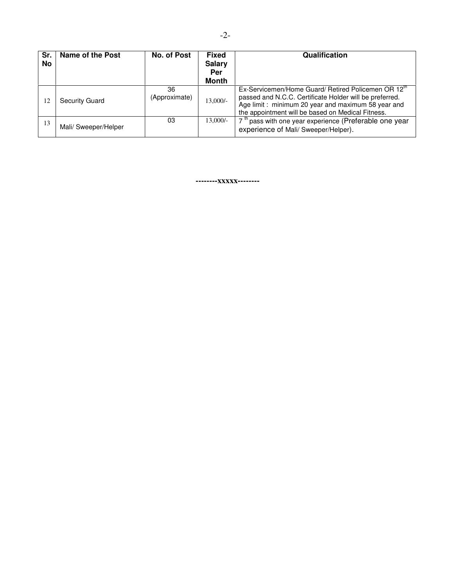| Sr.<br>No | Name of the Post     | No. of Post         | <b>Fixed</b><br><b>Salary</b><br>Per<br><b>Month</b> | Qualification                                                                                                                                                                                                                         |
|-----------|----------------------|---------------------|------------------------------------------------------|---------------------------------------------------------------------------------------------------------------------------------------------------------------------------------------------------------------------------------------|
| 12        | Security Guard       | 36<br>(Approximate) | 13,000/-                                             | Ex-Servicemen/Home Guard/ Retired Policemen OR 12 <sup>th</sup><br>passed and N.C.C. Certificate Holder will be preferred.<br>Age limit: minimum 20 year and maximum 58 year and<br>the appointment will be based on Medical Fitness. |
| 13        | Mali/ Sweeper/Helper | 03                  | $13,000/-$                                           | 7 <sup>th</sup> pass with one year experience (Preferable one year<br>experience of Mali/ Sweeper/Helper).                                                                                                                            |

**--------xxxxx--------**